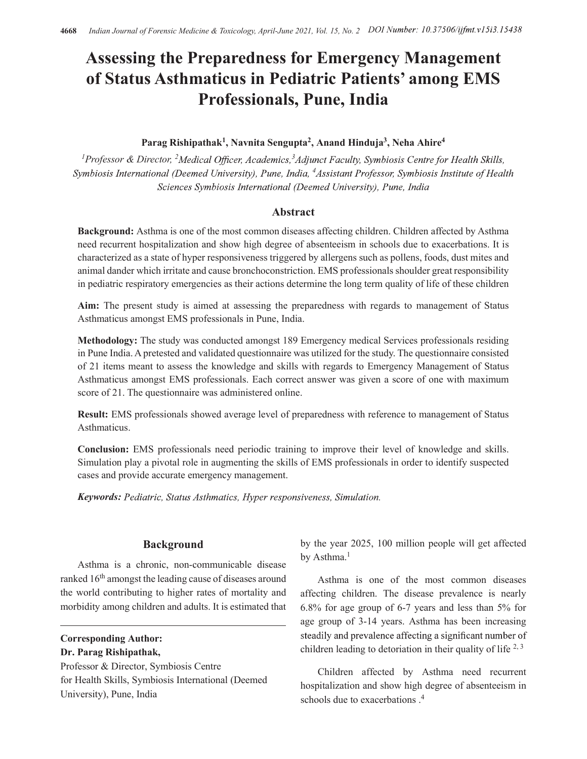## Assessing the Preparedness for Emergency Management of Status Asthmaticus in Pediatric Patients' among EMS Professionals, Pune, India

## Parag Rishipathak<sup>1</sup>, Navnita Sengupta<sup>2</sup>, Anand Hinduja<sup>3</sup>, Neha Ahire<sup>4</sup>

<sup>1</sup>Professor & Director, <sup>2</sup>Medical Officer, Academics, <sup>3</sup>Adjunct Faculty, Symbiosis Centre for Health Skills, Symbiosis International (Deemed University), Pune, India, <sup>4</sup>Assistant Professor, Symbiosis Institute of Health Sciences Symbiosis International (Deemed University), Pune, India

### Abstract

Background: Asthma is one of the most common diseases affecting children. Children affected by Asthma need recurrent hospitalization and show high degree of absenteeism in schools due to exacerbations. It is characterized as a state of hyper responsiveness triggered by allergens such as pollens, foods, dust mites and animal dander which irritate and cause bronchoconstriction. EMS professionals shoulder great responsibility in pediatric respiratory emergencies as their actions determine the long term quality of life of these children

Aim: The present study is aimed at assessing the preparedness with regards to management of Status Asthmaticus amongst EMS professionals in Pune, India.

Methodology: The study was conducted amongst 189 Emergency medical Services professionals residing in Pune India. A pretested and validated questionnaire was utilized for the study. The questionnaire consisted of 21 items meant to assess the knowledge and skills with regards to Emergency Management of Status Asthmaticus amongst EMS professionals. Each correct answer was given a score of one with maximum score of 21. The questionnaire was administered online.

Result: EMS professionals showed average level of preparedness with reference to management of Status Asthmaticus.

Conclusion: EMS professionals need periodic training to improve their level of knowledge and skills. Simulation play a pivotal role in augmenting the skills of EMS professionals in order to identify suspected cases and provide accurate emergency management.

**Keywords:** Pediatric, Status Asthmatics, Hyper responsiveness, Simulation.

Asthma is a chronic, non-communicable disease ranked 16<sup>th</sup> amongst the leading cause of diseases around the world contributing to higher rates of mortality and morbidity among children and adults. It is estimated that

Corresponding Author: Dr. Parag Rishipathak,

Professor & Director, Symbiosis Centre for Health Skills, Symbiosis International (Deemed University), Pune, India

**Background** by the year 2025, 100 million people will get affected by Asthma.<sup>1</sup>

> Asthma is one of the most common diseases affecting children. The disease prevalence is nearly 6.8% for age group of 6-7 years and less than 5% for age group of 3-14 years. Asthma has been increasing steadily and prevalence affecting a significant number of children leading to detoriation in their quality of life  $2,3$

> Children affected by Asthma need recurrent hospitalization and show high degree of absenteeism in schools due to exacerbations .4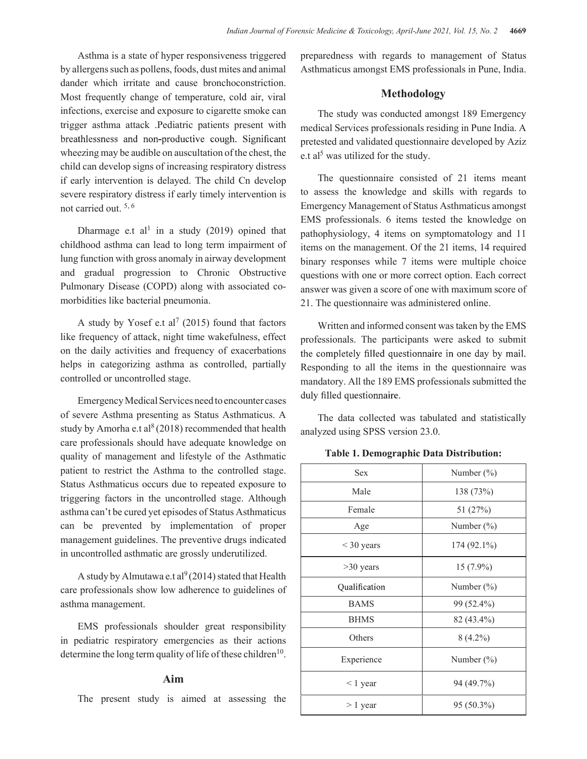Asthma is a state of hyper responsiveness triggered by allergens such as pollens, foods, dust mites and animal dander which irritate and cause bronchoconstriction. Most frequently change of temperature, cold air, viral infections, exercise and exposure to cigarette smoke can trigger asthma attack .Pediatric patients present with breathlessness and non-productive cough. Significant wheezing may be audible on auscultation of the chest, the child can develop signs of increasing respiratory distress if early intervention is delayed. The child Cn develop severe respiratory distress if early timely intervention is not carried out.  $5, 6$ 

Dharmage e.t al<sup>1</sup> in a study (2019) opined that nathon hysiology childhood asthma can lead to long term impairment of lung function with gross anomaly in airway development and gradual progression to Chronic Obstructive Pulmonary Disease (COPD) along with associated comorbidities like bacterial pneumonia.

A study by Yosef e.t al<sup>7</sup> (2015) found that factors Written and like frequency of attack, night time wakefulness, effect on the daily activities and frequency of exacerbations the completely filled questionnaire in one day by mail. helps in categorizing asthma as controlled, partially controlled or uncontrolled stage.

Emergency Medical Services need to encounter cases of severe Asthma presenting as Status Asthmaticus. A study by Amorha e.t al<sup>8</sup> (2018) recommended that health care professionals should have adequate knowledge on quality of management and lifestyle of the Asthmatic patient to restrict the Asthma to the controlled stage. Status Asthmaticus occurs due to repeated exposure to triggering factors in the uncontrolled stage. Although asthma can't be cured yet episodes of Status Asthmaticus can be prevented by implementation of proper management guidelines. The preventive drugs indicated in uncontrolled asthmatic are grossly underutilized.

A study by Almutawa e.t al<sup>9</sup> (2014) stated that Health care professionals show low adherence to guidelines of asthma management.

EMS professionals shoulder great responsibility in pediatric respiratory emergencies as their actions determine the long term quality of life of these children<sup>10</sup>.

The present study is aimed at assessing the

preparedness with regards to management of Status Asthmaticus amongst EMS professionals in Pune, India.

### Methodology

The study was conducted amongst 189 Emergency medical Services professionals residing in Pune India. A pretested and validated questionnaire developed by Aziz e.t al<sup>5</sup> was utilized for the study.

The questionnaire consisted of 21 items meant to assess the knowledge and skills with regards to Emergency Management of Status Asthmaticus amongst EMS professionals. 6 items tested the knowledge on pathophysiology, 4 items on symptomatology and 11 items on the management. Of the 21 items, 14 required binary responses while 7 items were multiple choice questions with one or more correct option. Each correct answer was given a score of one with maximum score of 21. The questionnaire was administered online. by, 4 items on symptomatology and 11<br>management. Of the 21 items, 14 required<br>sess while 7 items were multiple choice<br>h one or more correct option. Each correct<br>iven a score of one with maximum score of<br>ionnaire was admini

Table 1. Demographic Data Distribution:

| ad to long term impairment of<br>nomaly in airway development<br>on to Chronic Obstructive<br>PD) along with associated co-<br>pneumonia.                                                        | items on the management. Of the 21 items, 14 required<br>binary responses while 7 items were multiple choice<br>questions with one or more correct option. Each correct<br>answer was given a score of one with maximum score of<br>21. The questionnaire was administered online.                                   |                |  |
|--------------------------------------------------------------------------------------------------------------------------------------------------------------------------------------------------|----------------------------------------------------------------------------------------------------------------------------------------------------------------------------------------------------------------------------------------------------------------------------------------------------------------------|----------------|--|
| t al <sup>7</sup> (2015) found that factors<br>night time wakefulness, effect<br>ad frequency of exacerbations<br>sthma as controlled, partially<br>d stage.<br>Services need to encounter cases | Written and informed consent was taken by the EMS<br>professionals. The participants were asked to submit<br>the completely filled questionnaire in one day by mail.<br>Responding to all the items in the questionnaire was<br>mandatory. All the 189 EMS professionals submitted the<br>duly filled questionnaire. |                |  |
| ting as Status Asthmaticus. A<br>2018) recommended that health                                                                                                                                   | The data collected was tabulated and statistically<br>analyzed using SPSS version 23.0.                                                                                                                                                                                                                              |                |  |
| have adequate knowledge on<br>and lifestyle of the Asthmatic                                                                                                                                     | <b>Table 1. Demographic Data Distribution:</b>                                                                                                                                                                                                                                                                       |                |  |
| sthma to the controlled stage.                                                                                                                                                                   | Sex                                                                                                                                                                                                                                                                                                                  | Number $(\% )$ |  |
| rs due to repeated exposure to<br>uncontrolled stage. Although                                                                                                                                   | Male                                                                                                                                                                                                                                                                                                                 | 138 (73%)      |  |
| episodes of Status Asthmaticus                                                                                                                                                                   | Female                                                                                                                                                                                                                                                                                                               | 51 $(27%)$     |  |
| implementation of proper                                                                                                                                                                         | Age                                                                                                                                                                                                                                                                                                                  | Number $(\% )$ |  |
| The preventive drugs indicated<br>are grossly underutilized.                                                                                                                                     | $<$ 30 years                                                                                                                                                                                                                                                                                                         | $174(92.1\%)$  |  |
| e.t al <sup>9</sup> (2014) stated that Health                                                                                                                                                    | $>30$ years                                                                                                                                                                                                                                                                                                          | $15(7.9\%)$    |  |
| ow adherence to guidelines of                                                                                                                                                                    | Qualification                                                                                                                                                                                                                                                                                                        | Number $(\%)$  |  |
|                                                                                                                                                                                                  | <b>BAMS</b>                                                                                                                                                                                                                                                                                                          | 99 (52.4%)     |  |
| shoulder great responsibility                                                                                                                                                                    | <b>BHMS</b>                                                                                                                                                                                                                                                                                                          | 82 (43.4%)     |  |
| emergencies as their actions                                                                                                                                                                     | Others                                                                                                                                                                                                                                                                                                               | $8(4.2\%)$     |  |
| ality of life of these children <sup>10</sup> .                                                                                                                                                  | Experience                                                                                                                                                                                                                                                                                                           | Number $(\% )$ |  |
| Aim                                                                                                                                                                                              | $< 1$ year                                                                                                                                                                                                                                                                                                           | 94 (49.7%)     |  |
| is aimed at assessing the                                                                                                                                                                        | $> 1$ year                                                                                                                                                                                                                                                                                                           | 95 (50.3%)     |  |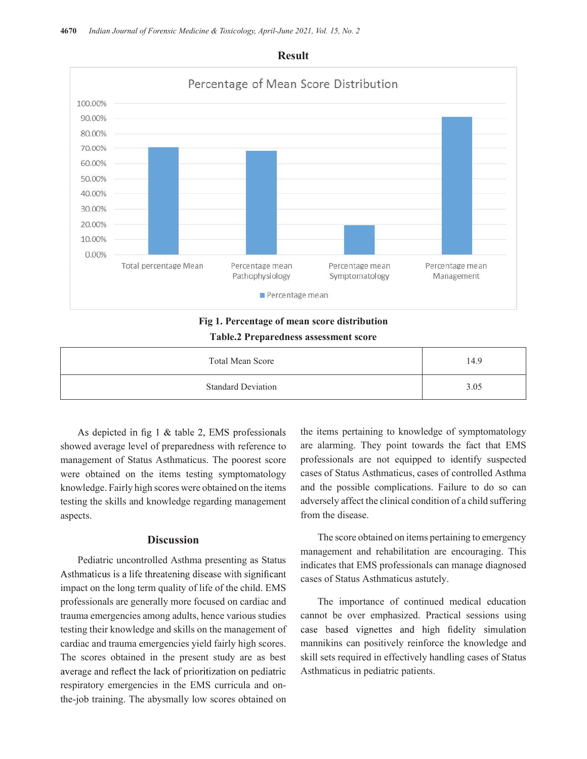

# Fig 1. Percentage of mean score distribution

### Table.2 Preparedness assessment score

| Total Mean Score          | 14.9 |
|---------------------------|------|
| <b>Standard Deviation</b> | 3.05 |

As depicted in fig  $1 \&$  table 2, EMS professionals showed average level of preparedness with reference to management of Status Asthmaticus. The poorest score were obtained on the items testing symptomatology knowledge. Fairly high scores were obtained on the items testing the skills and knowledge regarding management aspects.

### **Discussion**

Pediatric uncontrolled Asthma presenting as Status Asthmaticus is a life threatening disease with significant impact on the long term quality of life of the child. EMS professionals are generally more focused on cardiac and trauma emergencies among adults, hence various studies testing their knowledge and skills on the management of case based vignettes and high fidelity simulation cardiac and trauma emergencies yield fairly high scores. The scores obtained in the present study are as best average and reflect the lack of prioritization on pediatric respiratory emergencies in the EMS curricula and onthe-job training. The abysmally low scores obtained on

the items pertaining to knowledge of symptomatology are alarming. They point towards the fact that EMS professionals are not equipped to identify suspected cases of Status Asthmaticus, cases of controlled Asthma and the possible complications. Failure to do so can adversely affect the clinical condition of a child suffering from the disease.

The score obtained on items pertaining to emergency management and rehabilitation are encouraging. This indicates that EMS professionals can manage diagnosed cases of Status Asthmaticus astutely.

The importance of continued medical education cannot be over emphasized. Practical sessions using mannikins can positively reinforce the knowledge and skill sets required in effectively handling cases of Status Asthmaticus in pediatric patients.

### Result